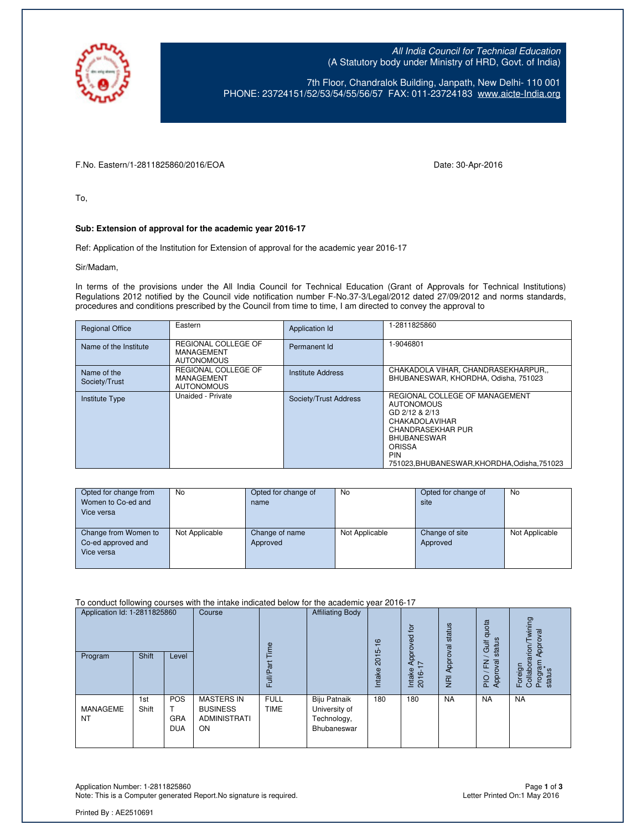

All India Council for Technical Education (A Statutory body under Ministry of HRD, Govt. of India)

7th Floor, Chandralok Building, Janpath, New Delhi- 110 001 PHONE: 23724151/52/53/54/55/56/57 FAX: 011-23724183 [www.aicte-India.org](http://www.aicte-india.org/)

F.No. Eastern/1-2811825860/2016/EOA Date: 30-Apr-2016

To,

### **Sub: Extension of approval for the academic year 2016-17**

Ref: Application of the Institution for Extension of approval for the academic year 2016-17

Sir/Madam,

In terms of the provisions under the All India Council for Technical Education (Grant of Approvals for Technical Institutions) Regulations 2012 notified by the Council vide notification number F-No.37-3/Legal/2012 dated 27/09/2012 and norms standards, procedures and conditions prescribed by the Council from time to time, I am directed to convey the approval to

| <b>Regional Office</b>       | Eastern                                                | Application Id           | 1-2811825860                                                                                                                                                                                                  |
|------------------------------|--------------------------------------------------------|--------------------------|---------------------------------------------------------------------------------------------------------------------------------------------------------------------------------------------------------------|
| Name of the Institute        | REGIONAL COLLEGE OF<br>MANAGEMENT<br><b>AUTONOMOUS</b> | Permanent Id             | 1-9046801                                                                                                                                                                                                     |
| Name of the<br>Society/Trust | REGIONAL COLLEGE OF<br>MANAGEMENT<br><b>AUTONOMOUS</b> | <b>Institute Address</b> | CHAKADOLA VIHAR, CHANDRASEKHARPUR,,<br>BHUBANESWAR, KHORDHA, Odisha, 751023                                                                                                                                   |
| <b>Institute Type</b>        | Unaided - Private                                      | Society/Trust Address    | REGIONAL COLLEGE OF MANAGEMENT<br><b>AUTONOMOUS</b><br>GD 2/12 & 2/13<br>CHAKADOLAVIHAR<br>CHANDRASEKHAR PUR<br><b>BHUBANESWAR</b><br><b>ORISSA</b><br><b>PIN</b><br>751023.BHUBANESWAR.KHORDHA.Odisha.751023 |

| Opted for change from | <b>No</b>      | Opted for change of | No             | Opted for change of | No             |
|-----------------------|----------------|---------------------|----------------|---------------------|----------------|
| Women to Co-ed and    |                | name                |                | site                |                |
| Vice versa            |                |                     |                |                     |                |
|                       |                |                     |                |                     |                |
| Change from Women to  | Not Applicable | Change of name      | Not Applicable | Change of site      | Not Applicable |
| Co-ed approved and    |                | Approved            |                | Approved            |                |
| Vice versa            |                |                     |                |                     |                |
|                       |                |                     |                |                     |                |

To conduct following courses with the intake indicated below for the academic year 2016-17

| Application Id: 1-2811825860 |              | Course                          | $\Omega$                                                          | <b>Affiliating Body</b>    | $\circ$                                                     | $\overline{p}$<br>pproved |                        | quota<br>status<br>Gulf | wining<br>Approval                 |                                                   |
|------------------------------|--------------|---------------------------------|-------------------------------------------------------------------|----------------------------|-------------------------------------------------------------|---------------------------|------------------------|-------------------------|------------------------------------|---------------------------------------------------|
| Program                      | Shift        | Level                           |                                                                   | σ<br>≣<br>п.               |                                                             | 5<br>201<br>Intake        | マト<br>Intake<br>2016-1 | NRI Approval status     | oval<br>준<br>Appr<br>$\frac{1}{2}$ | arion<br>Program<br>status<br>Foreign<br>Collabor |
| <b>MANAGEME</b><br><b>NT</b> | 1st<br>Shift | POS<br><b>GRA</b><br><b>DUA</b> | <b>MASTERS IN</b><br><b>BUSINESS</b><br><b>ADMINISTRATI</b><br>ON | <b>FULL</b><br><b>TIME</b> | Biju Patnaik<br>University of<br>Technology,<br>Bhubaneswar | 180                       | 180                    | <b>NA</b>               | <b>NA</b>                          | <b>NA</b>                                         |

Application Number: 1-2811825860 Page **1** of **3** Note: This is a Computer generated Report. No signature is required.

Printed By : AE2510691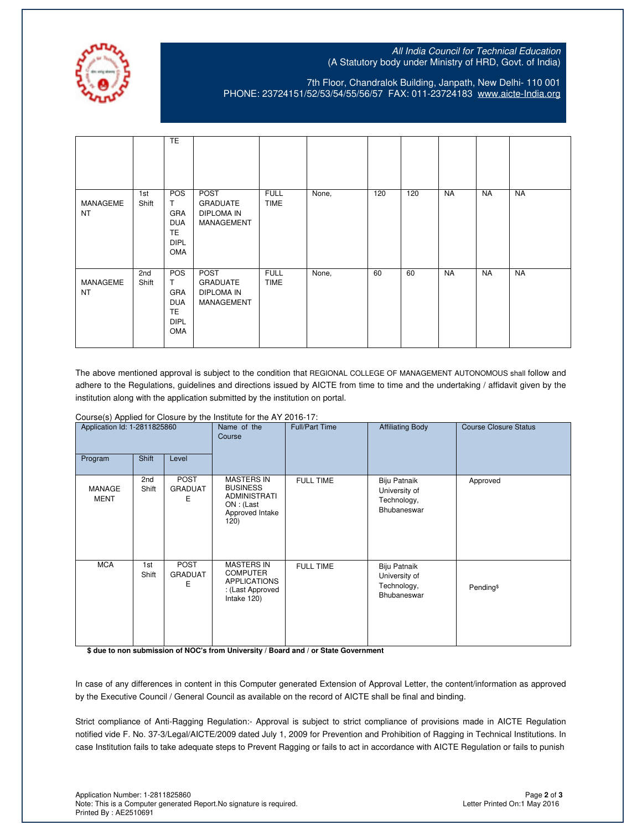

## All India Council for Technical Education (A Statutory body under Ministry of HRD, Govt. of India)

7th Floor, Chandralok Building, Janpath, New Delhi- 110 001 PHONE: 23724151/52/53/54/55/56/57 FAX: 011-23724183 [www.aicte-India.org](http://www.aicte-india.org/)

|                       |              | <b>TE</b>                                                                |                                                                   |                            |       |     |     |           |           |           |
|-----------------------|--------------|--------------------------------------------------------------------------|-------------------------------------------------------------------|----------------------------|-------|-----|-----|-----------|-----------|-----------|
| MANAGEME<br><b>NT</b> | 1st<br>Shift | POS<br>T.<br>GRA<br><b>DUA</b><br><b>TE</b><br><b>DIPL</b><br><b>OMA</b> | <b>POST</b><br><b>GRADUATE</b><br><b>DIPLOMA IN</b><br>MANAGEMENT | <b>FULL</b><br><b>TIME</b> | None, | 120 | 120 | <b>NA</b> | <b>NA</b> | <b>NA</b> |
| MANAGEME<br><b>NT</b> | 2nd<br>Shift | POS<br>T.<br>GRA<br><b>DUA</b><br><b>TE</b><br><b>DIPL</b><br><b>OMA</b> | <b>POST</b><br><b>GRADUATE</b><br><b>DIPLOMA IN</b><br>MANAGEMENT | <b>FULL</b><br><b>TIME</b> | None, | 60  | 60  | <b>NA</b> | <b>NA</b> | <b>NA</b> |

The above mentioned approval is subject to the condition that REGIONAL COLLEGE OF MANAGEMENT AUTONOMOUS shall follow and adhere to the Regulations, guidelines and directions issued by AICTE from time to time and the undertaking / affidavit given by the institution along with the application submitted by the institution on portal.

| Course(s) Applied for Closure by the Institute for the AY 2016-17: |  |
|--------------------------------------------------------------------|--|
|                                                                    |  |

| Application Id: 1-2811825860<br>Shift<br>Program<br>Level |              | Name of the<br>Course              | Full/Part Time                                                                                 | <b>Affiliating Body</b> | <b>Course Closure Status</b>                                |                       |
|-----------------------------------------------------------|--------------|------------------------------------|------------------------------------------------------------------------------------------------|-------------------------|-------------------------------------------------------------|-----------------------|
| <b>MANAGE</b><br><b>MENT</b>                              | 2nd<br>Shift | <b>POST</b><br><b>GRADUAT</b><br>Ε | <b>MASTERS IN</b><br><b>BUSINESS</b><br>ADMINISTRATI<br>ON: (Last)<br>Approved Intake<br>120)  | <b>FULL TIME</b>        | Biju Patnaik<br>University of<br>Technology,<br>Bhubaneswar | Approved              |
| <b>MCA</b>                                                | 1st<br>Shift | <b>POST</b><br><b>GRADUAT</b><br>Ε | <b>MASTERS IN</b><br><b>COMPUTER</b><br><b>APPLICATIONS</b><br>: (Last Approved<br>Intake 120) | <b>FULL TIME</b>        | Biju Patnaik<br>University of<br>Technology,<br>Bhubaneswar | Pending <sup>\$</sup> |

**\$ due to non submission of NOC's from University / Board and / or State Government**

In case of any differences in content in this Computer generated Extension of Approval Letter, the content/information as approved by the Executive Council / General Council as available on the record of AICTE shall be final and binding.

Strict compliance of Anti-Ragging Regulation:- Approval is subject to strict compliance of provisions made in AICTE Regulation notified vide F. No. 37-3/Legal/AICTE/2009 dated July 1, 2009 for Prevention and Prohibition of Ragging in Technical Institutions. In case Institution fails to take adequate steps to Prevent Ragging or fails to act in accordance with AICTE Regulation or fails to punish